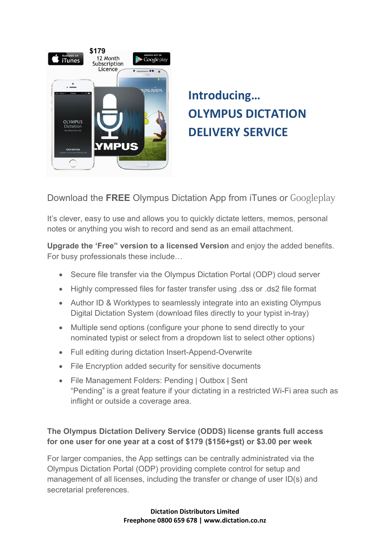

## **Introducing… OLYMPUS DICTATION DELIVERY SERVICE**

Download the **FREE** Olympus Dictation App from iTunes or Googleplay

It's clever, easy to use and allows you to quickly dictate letters, memos, personal notes or anything you wish to record and send as an email attachment.

**Upgrade the 'Free" version to a licensed Version** and enjoy the added benefits. For busy professionals these include…

- Secure file transfer via the Olympus Dictation Portal (ODP) cloud server
- Highly compressed files for faster transfer using .dss or .ds2 file format
- Author ID & Worktypes to seamlessly integrate into an existing Olympus Digital Dictation System (download files directly to your typist in-tray)
- Multiple send options (configure your phone to send directly to your nominated typist or select from a dropdown list to select other options)
- Full editing during dictation Insert-Append-Overwrite
- File Encryption added security for sensitive documents
- File Management Folders: Pending | Outbox | Sent "Pending" is a great feature if your dictating in a restricted Wi-Fi area such as inflight or outside a coverage area.

## **The Olympus Dictation Delivery Service (ODDS) license grants full access for one user for one year at a cost of \$179 (\$156+gst) or \$3.00 per week**

For larger companies, the App settings can be centrally administrated via the Olympus Dictation Portal (ODP) providing complete control for setup and management of all licenses, including the transfer or change of user ID(s) and secretarial preferences.